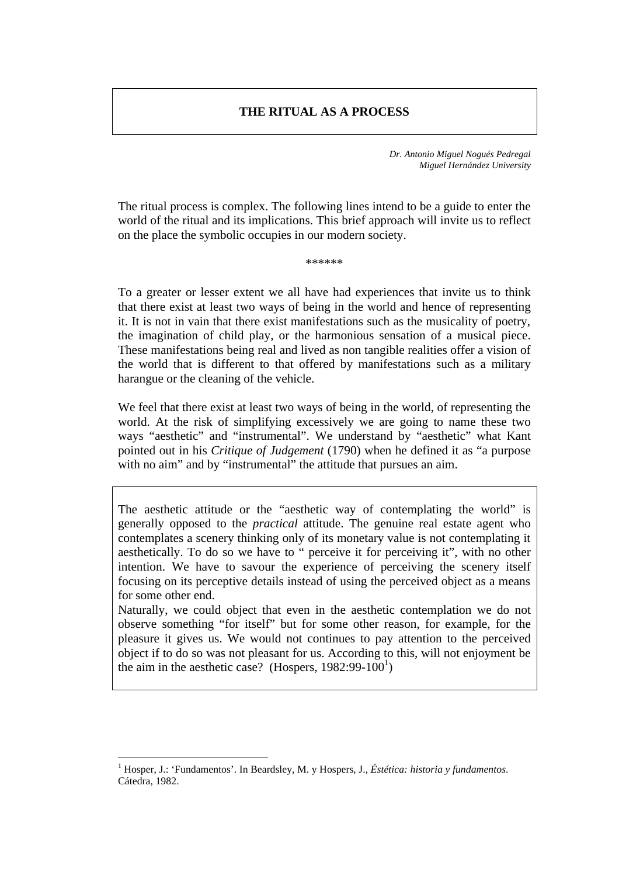### **THE RITUAL AS A PROCESS**

*Dr. Antonio Miguel Nogués Pedregal Miguel Hernández University*

The ritual process is complex. The following lines intend to be a guide to enter the world of the ritual and its implications. This brief approach will invite us to reflect on the place the symbolic occupies in our modern society.

\*\*\*\*\*\*\*\*

To a greater or lesser extent we all have had experiences that invite us to think that there exist at least two ways of being in the world and hence of representing it. It is not in vain that there exist manifestations such as the musicality of poetry, the imagination of child play, or the harmonious sensation of a musical piece. These manifestations being real and lived as non tangible realities offer a vision of the world that is different to that offered by manifestations such as a military harangue or the cleaning of the vehicle.

We feel that there exist at least two ways of being in the world, of representing the world. At the risk of simplifying excessively we are going to name these two ways "aesthetic" and "instrumental". We understand by "aesthetic" what Kant pointed out in his *Critique of Judgement* (1790) when he defined it as "a purpose with no aim" and by "instrumental" the attitude that pursues an aim.

The aesthetic attitude or the "aesthetic way of contemplating the world" is generally opposed to the *practical* attitude. The genuine real estate agent who contemplates a scenery thinking only of its monetary value is not contemplating it aesthetically. To do so we have to " perceive it for perceiving it", with no other intention. We have to savour the experience of perceiving the scenery itself focusing on its perceptive details instead of using the perceived object as a means for some other end.

Naturally, we could object that even in the aesthetic contemplation we do not observe something "for itself" but for some other reason, for example, for the pleasure it gives us. We would not continues to pay attention to the perceived object if to do so was not pleasant for us. According to this, will not enjoyment be the aim in the aesthetic case? (Hospers,  $1982:99-100^1$ )

 $\overline{a}$ 

<sup>1</sup> Hosper, J.: 'Fundamentos'. In Beardsley, M. y Hospers, J., *Éstética: historia y fundamentos*. Cátedra, 1982.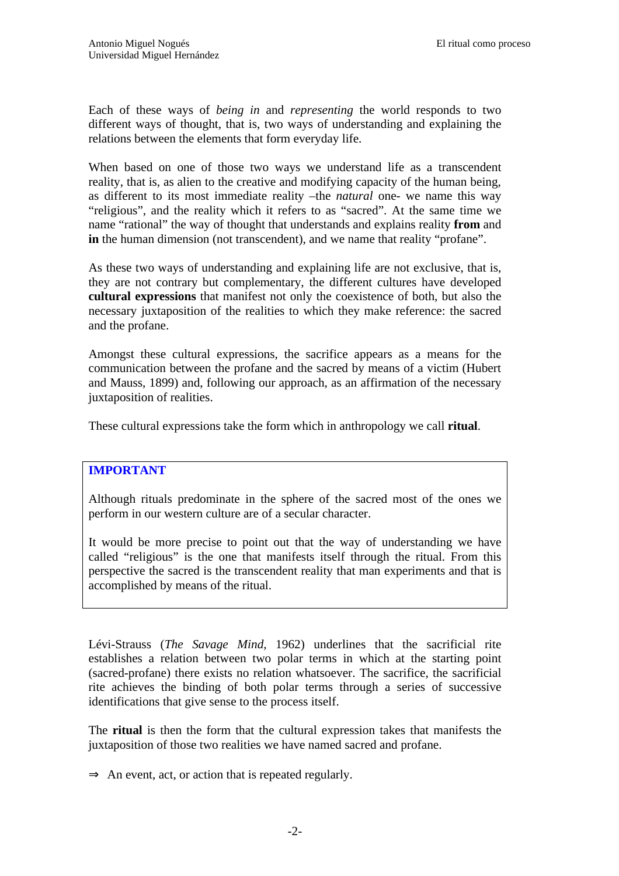Each of these ways of *being in* and *representing* the world responds to two different ways of thought, that is, two ways of understanding and explaining the relations between the elements that form everyday life.

When based on one of those two ways we understand life as a transcendent reality, that is, as alien to the creative and modifying capacity of the human being, as different to its most immediate reality –the *natural* one- we name this way "religious", and the reality which it refers to as "sacred". At the same time we name "rational" the way of thought that understands and explains reality **from** and **in** the human dimension (not transcendent), and we name that reality "profane".

As these two ways of understanding and explaining life are not exclusive, that is, they are not contrary but complementary, the different cultures have developed **cultural expressions** that manifest not only the coexistence of both, but also the necessary juxtaposition of the realities to which they make reference: the sacred and the profane.

Amongst these cultural expressions, the sacrifice appears as a means for the communication between the profane and the sacred by means of a victim (Hubert and Mauss, 1899) and, following our approach, as an affirmation of the necessary juxtaposition of realities.

These cultural expressions take the form which in anthropology we call **ritual**.

#### **IMPORTANT**

Although rituals predominate in the sphere of the sacred most of the ones we perform in our western culture are of a secular character.

It would be more precise to point out that the way of understanding we have called "religious" is the one that manifests itself through the ritual. From this perspective the sacred is the transcendent reality that man experiments and that is accomplished by means of the ritual.

Lévi-Strauss (*The Savage Mind*, 1962) underlines that the sacrificial rite establishes a relation between two polar terms in which at the starting point (sacred-profane) there exists no relation whatsoever. The sacrifice, the sacrificial rite achieves the binding of both polar terms through a series of successive identifications that give sense to the process itself.

The **ritual** is then the form that the cultural expression takes that manifests the juxtaposition of those two realities we have named sacred and profane.

 $\Rightarrow$  An event, act, or action that is repeated regularly.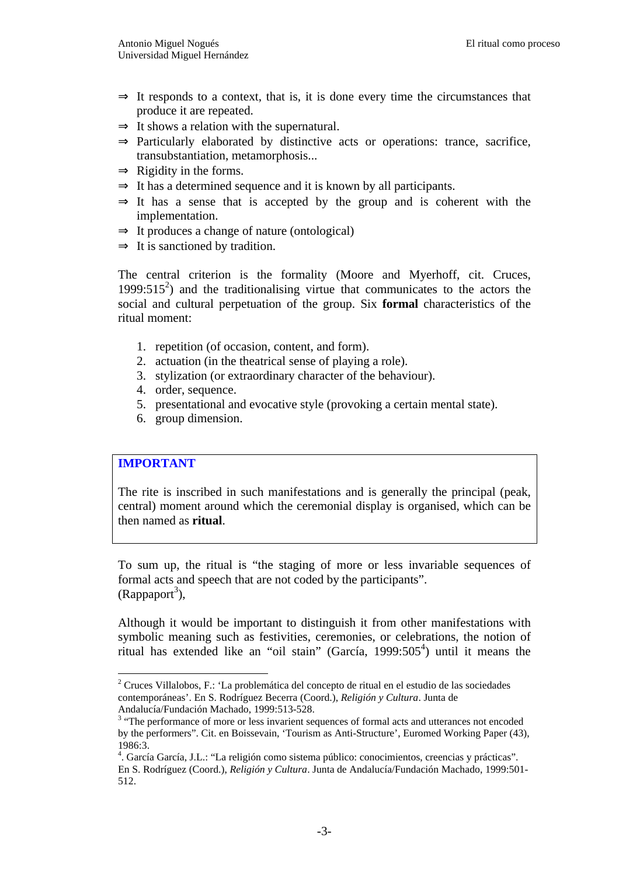- $\Rightarrow$  It responds to a context, that is, it is done every time the circumstances that produce it are repeated.
- $\Rightarrow$  It shows a relation with the supernatural.
- $\Rightarrow$  Particularly elaborated by distinctive acts or operations: trance, sacrifice, transubstantiation, metamorphosis...
- $\Rightarrow$  Rigidity in the forms.
- $\Rightarrow$  It has a determined sequence and it is known by all participants.
- $\Rightarrow$  It has a sense that is accepted by the group and is coherent with the implementation.
- $\Rightarrow$  It produces a change of nature (ontological)
- $\Rightarrow$  It is sanctioned by tradition.

The central criterion is the formality (Moore and Myerhoff, cit. Cruces, 1999:515 $^2$ ) and the traditionalising virtue that communicates to the actors the social and cultural perpetuation of the group. Six **formal** characteristics of the ritual moment:

- 1. repetition (of occasion, content, and form).
- 2. actuation (in the theatrical sense of playing a role).
- 3. stylization (or extraordinary character of the behaviour).
- 4. order, sequence.
- 5. presentational and evocative style (provoking a certain mental state).
- 6. group dimension.

# **IMPORTANT**

 $\overline{a}$ 

The rite is inscribed in such manifestations and is generally the principal (peak, central) moment around which the ceremonial display is organised, which can be then named as **ritual**.

To sum up, the ritual is "the staging of more or less invariable sequences of formal acts and speech that are not coded by the participants".  $(Rappaport<sup>3</sup>)$ ,

Although it would be important to distinguish it from other manifestations with symbolic meaning such as festivities, ceremonies, or celebrations, the notion of ritual has extended like an "oil stain" (García, 1999:505<sup>4</sup>) until it means the

<sup>2</sup> Cruces Villalobos, F.: 'La problemática del concepto de ritual en el estudio de las sociedades contemporáneas'. En S. Rodríguez Becerra (Coord.), *Religión y Cultura*. Junta de Andalucía/Fundación Machado, 1999:513-528.

<sup>&</sup>lt;sup>3</sup> "The performance of more or less invarient sequences of formal acts and utterances not encoded by the performers". Cit. en Boissevain, 'Tourism as Anti-Structure', Euromed Working Paper (43), 1986:3.

<sup>4</sup> . García García, J.L.: "La religión como sistema público: conocimientos, creencias y prácticas". En S. Rodríguez (Coord.), *Religión y Cultura*. Junta de Andalucía/Fundación Machado, 1999:501- 512.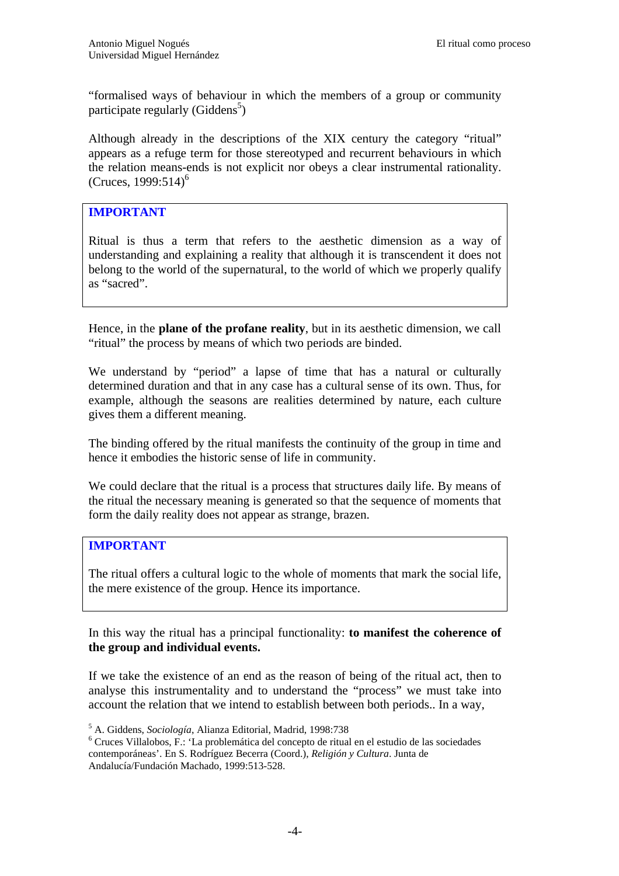"formalised ways of behaviour in which the members of a group or community participate regularly (Giddens<sup>5</sup>)

Although already in the descriptions of the XIX century the category "ritual" appears as a refuge term for those stereotyped and recurrent behaviours in which the relation means-ends is not explicit nor obeys a clear instrumental rationality. (Cruces,  $1999:514$ <sup>6</sup>)

# **IMPORTANT**

Ritual is thus a term that refers to the aesthetic dimension as a way of understanding and explaining a reality that although it is transcendent it does not belong to the world of the supernatural, to the world of which we properly qualify as "sacred".

Hence, in the **plane of the profane reality**, but in its aesthetic dimension, we call "ritual" the process by means of which two periods are binded.

We understand by "period" a lapse of time that has a natural or culturally determined duration and that in any case has a cultural sense of its own. Thus, for example, although the seasons are realities determined by nature, each culture gives them a different meaning.

The binding offered by the ritual manifests the continuity of the group in time and hence it embodies the historic sense of life in community.

We could declare that the ritual is a process that structures daily life. By means of the ritual the necessary meaning is generated so that the sequence of moments that form the daily reality does not appear as strange, brazen.

#### **IMPORTANT**

The ritual offers a cultural logic to the whole of moments that mark the social life, the mere existence of the group. Hence its importance.

In this way the ritual has a principal functionality: **to manifest the coherence of the group and individual events.**

If we take the existence of an end as the reason of being of the ritual act, then to analyse this instrumentality and to understand the "process" we must take into account the relation that we intend to establish between both periods.. In a way,

6 Cruces Villalobos, F.: 'La problemática del concepto de ritual en el estudio de las sociedades contemporáneas'. En S. Rodríguez Becerra (Coord.), *Religión y Cultura*. Junta de Andalucía/Fundación Machado, 1999:513-528.

<sup>5</sup> A. Giddens, *Sociología*, Alianza Editorial, Madrid, 1998:738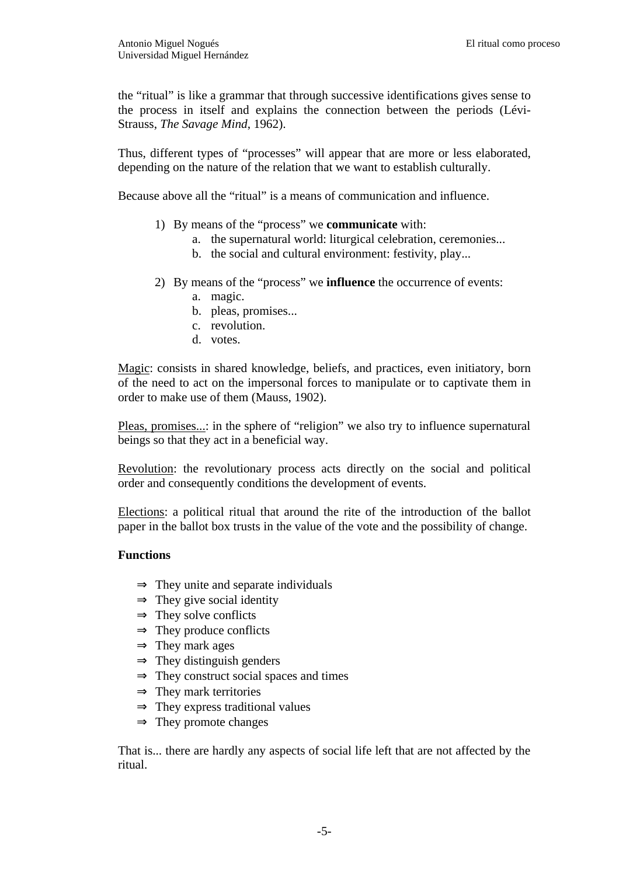the "ritual" is like a grammar that through successive identifications gives sense to the process in itself and explains the connection between the periods (Lévi-Strauss, *The Savage Mind*, 1962).

Thus, different types of "processes" will appear that are more or less elaborated, depending on the nature of the relation that we want to establish culturally.

Because above all the "ritual" is a means of communication and influence.

- 1) By means of the "process" we **communicate** with:
	- a. the supernatural world: liturgical celebration, ceremonies...
	- b. the social and cultural environment: festivity, play...
- 2) By means of the "process" we **influence** the occurrence of events:
	- a. magic.
	- b. pleas, promises...
	- c. revolution.
	- d. votes.

Magic: consists in shared knowledge, beliefs, and practices, even initiatory, born of the need to act on the impersonal forces to manipulate or to captivate them in order to make use of them (Mauss, 1902).

Pleas, promises...: in the sphere of "religion" we also try to influence supernatural beings so that they act in a beneficial way.

Revolution: the revolutionary process acts directly on the social and political order and consequently conditions the development of events.

Elections: a political ritual that around the rite of the introduction of the ballot paper in the ballot box trusts in the value of the vote and the possibility of change.

#### **Functions**

- $\Rightarrow$  They unite and separate individuals
- $\Rightarrow$  They give social identity
- $\Rightarrow$  They solve conflicts
- $\Rightarrow$  They produce conflicts
- $\Rightarrow$  They mark ages
- $\Rightarrow$  They distinguish genders
- $\Rightarrow$  They construct social spaces and times
- $\Rightarrow$  They mark territories
- $\Rightarrow$  They express traditional values
- $\Rightarrow$  They promote changes

That is... there are hardly any aspects of social life left that are not affected by the ritual.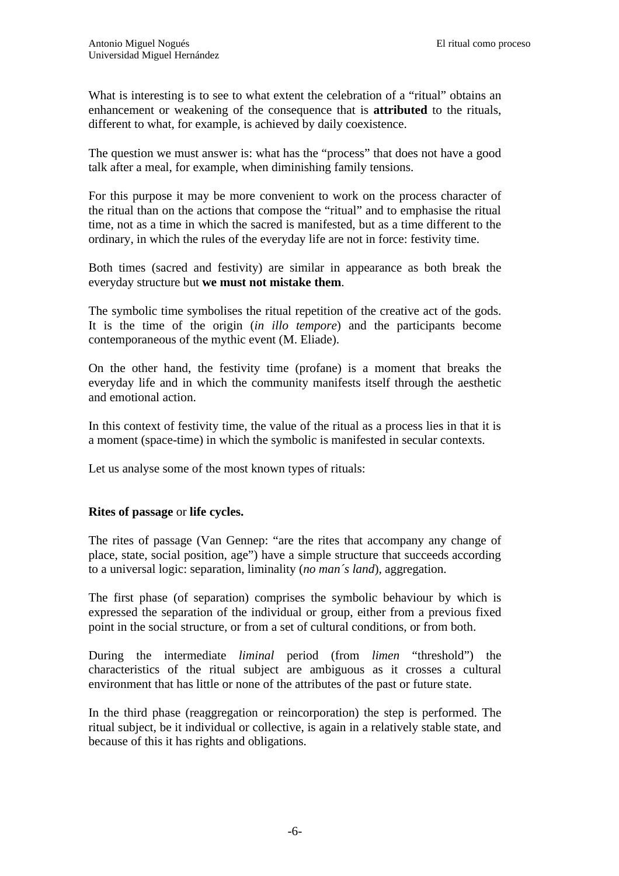What is interesting is to see to what extent the celebration of a "ritual" obtains an enhancement or weakening of the consequence that is **attributed** to the rituals, different to what, for example, is achieved by daily coexistence.

The question we must answer is: what has the "process" that does not have a good talk after a meal, for example, when diminishing family tensions.

For this purpose it may be more convenient to work on the process character of the ritual than on the actions that compose the "ritual" and to emphasise the ritual time, not as a time in which the sacred is manifested, but as a time different to the ordinary, in which the rules of the everyday life are not in force: festivity time.

Both times (sacred and festivity) are similar in appearance as both break the everyday structure but **we must not mistake them**.

The symbolic time symbolises the ritual repetition of the creative act of the gods. It is the time of the origin (*in illo tempore*) and the participants become contemporaneous of the mythic event (M. Eliade).

On the other hand, the festivity time (profane) is a moment that breaks the everyday life and in which the community manifests itself through the aesthetic and emotional action.

In this context of festivity time, the value of the ritual as a process lies in that it is a moment (space-time) in which the symbolic is manifested in secular contexts.

Let us analyse some of the most known types of rituals:

#### **Rites of passage** or **life cycles.**

The rites of passage (Van Gennep: "are the rites that accompany any change of place, state, social position, age") have a simple structure that succeeds according to a universal logic: separation, liminality (*no man´s land*), aggregation.

The first phase (of separation) comprises the symbolic behaviour by which is expressed the separation of the individual or group, either from a previous fixed point in the social structure, or from a set of cultural conditions, or from both.

During the intermediate *liminal* period (from *limen* "threshold") the characteristics of the ritual subject are ambiguous as it crosses a cultural environment that has little or none of the attributes of the past or future state.

In the third phase (reaggregation or reincorporation) the step is performed. The ritual subject, be it individual or collective, is again in a relatively stable state, and because of this it has rights and obligations.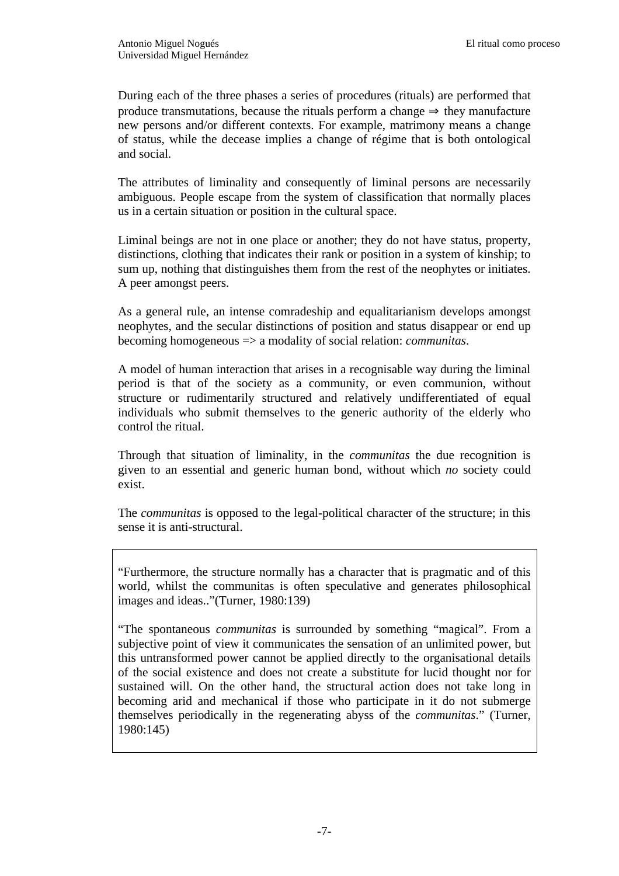During each of the three phases a series of procedures (rituals) are performed that produce transmutations, because the rituals perform a change  $\Rightarrow$  they manufacture new persons and/or different contexts. For example, matrimony means a change of status, while the decease implies a change of régime that is both ontological and social.

The attributes of liminality and consequently of liminal persons are necessarily ambiguous. People escape from the system of classification that normally places us in a certain situation or position in the cultural space.

Liminal beings are not in one place or another; they do not have status, property, distinctions, clothing that indicates their rank or position in a system of kinship; to sum up, nothing that distinguishes them from the rest of the neophytes or initiates. A peer amongst peers.

As a general rule, an intense comradeship and equalitarianism develops amongst neophytes, and the secular distinctions of position and status disappear or end up becoming homogeneous => a modality of social relation: *communitas*.

A model of human interaction that arises in a recognisable way during the liminal period is that of the society as a community, or even communion, without structure or rudimentarily structured and relatively undifferentiated of equal individuals who submit themselves to the generic authority of the elderly who control the ritual.

Through that situation of liminality, in the *communitas* the due recognition is given to an essential and generic human bond, without which *no* society could exist.

The *communitas* is opposed to the legal-political character of the structure; in this sense it is anti-structural.

"Furthermore, the structure normally has a character that is pragmatic and of this world, whilst the communitas is often speculative and generates philosophical images and ideas.."(Turner, 1980:139)

"The spontaneous *communitas* is surrounded by something "magical". From a subjective point of view it communicates the sensation of an unlimited power, but this untransformed power cannot be applied directly to the organisational details of the social existence and does not create a substitute for lucid thought nor for sustained will. On the other hand, the structural action does not take long in becoming arid and mechanical if those who participate in it do not submerge themselves periodically in the regenerating abyss of the *communitas*." (Turner, 1980:145)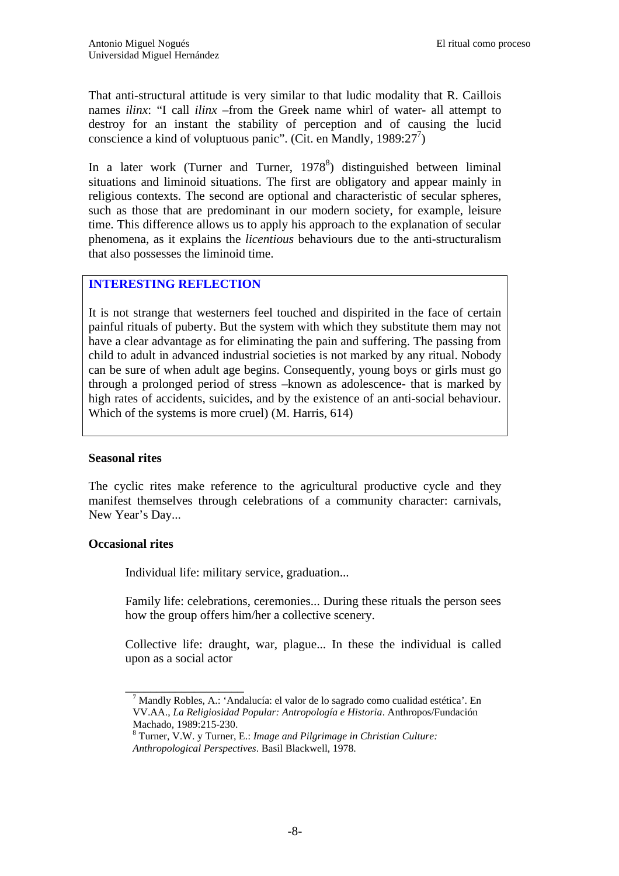That anti-structural attitude is very similar to that ludic modality that R. Caillois names *ilinx*: "I call *ilinx* –from the Greek name whirl of water- all attempt to destroy for an instant the stability of perception and of causing the lucid conscience a kind of voluptuous panic". (Cit. en Mandly, 1989:27 $^7$ )

In a later work (Turner and Turner,  $1978<sup>8</sup>$ ) distinguished between liminal situations and liminoid situations. The first are obligatory and appear mainly in religious contexts. The second are optional and characteristic of secular spheres, such as those that are predominant in our modern society, for example, leisure time. This difference allows us to apply his approach to the explanation of secular phenomena, as it explains the *licentious* behaviours due to the anti-structuralism that also possesses the liminoid time.

## **INTERESTING REFLECTION**

It is not strange that westerners feel touched and dispirited in the face of certain painful rituals of puberty. But the system with which they substitute them may not have a clear advantage as for eliminating the pain and suffering. The passing from child to adult in advanced industrial societies is not marked by any ritual. Nobody can be sure of when adult age begins. Consequently, young boys or girls must go through a prolonged period of stress –known as adolescence- that is marked by high rates of accidents, suicides, and by the existence of an anti-social behaviour. Which of the systems is more cruel) (M. Harris, 614)

#### **Seasonal rites**

The cyclic rites make reference to the agricultural productive cycle and they manifest themselves through celebrations of a community character: carnivals, New Year's Day...

### **Occasional rites**

Individual life: military service, graduation...

\_\_\_\_\_\_\_\_\_\_\_\_\_\_\_\_\_\_\_

Family life: celebrations, ceremonies... During these rituals the person sees how the group offers him/her a collective scenery.

Collective life: draught, war, plague... In these the individual is called upon as a social actor

<sup>&</sup>lt;sup>7</sup> Mandly Robles, A.: 'Andalucía: el valor de lo sagrado como cualidad estética'. En VV.AA., *La Religiosidad Popular: Antropología e Historia*. Anthropos/Fundación Machado, 1989:215-230.

<sup>8</sup> Turner, V.W. y Turner, E.: *Image and Pilgrimage in Christian Culture: Anthropological Perspectives*. Basil Blackwell, 1978.